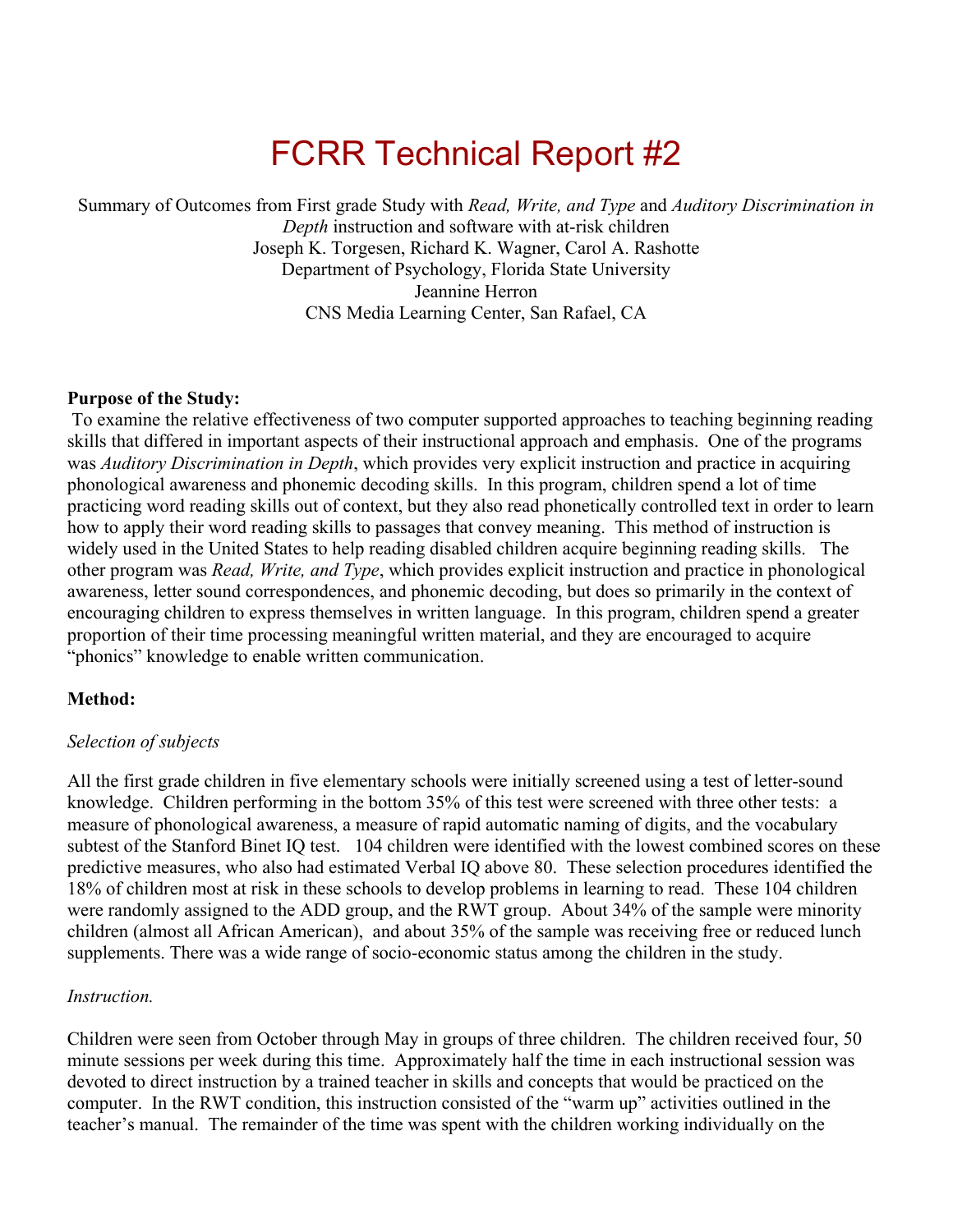# FCRR Technical Report #2

Summary of Outcomes from First grade Study with *Read, Write, and Type* and *Auditory Discrimination in Depth* instruction and software with at-risk children Joseph K. Torgesen, Richard K. Wagner, Carol A. Rashotte Department of Psychology, Florida State University Jeannine Herron CNS Media Learning Center, San Rafael, CA

## **Purpose of the Study:**

 To examine the relative effectiveness of two computer supported approaches to teaching beginning reading skills that differed in important aspects of their instructional approach and emphasis. One of the programs was *Auditory Discrimination in Depth*, which provides very explicit instruction and practice in acquiring phonological awareness and phonemic decoding skills. In this program, children spend a lot of time practicing word reading skills out of context, but they also read phonetically controlled text in order to learn how to apply their word reading skills to passages that convey meaning. This method of instruction is widely used in the United States to help reading disabled children acquire beginning reading skills. The other program was *Read, Write, and Type*, which provides explicit instruction and practice in phonological awareness, letter sound correspondences, and phonemic decoding, but does so primarily in the context of encouraging children to express themselves in written language. In this program, children spend a greater proportion of their time processing meaningful written material, and they are encouraged to acquire "phonics" knowledge to enable written communication.

## **Method:**

## *Selection of subjects*

All the first grade children in five elementary schools were initially screened using a test of letter-sound knowledge. Children performing in the bottom 35% of this test were screened with three other tests: a measure of phonological awareness, a measure of rapid automatic naming of digits, and the vocabulary subtest of the Stanford Binet IQ test. 104 children were identified with the lowest combined scores on these predictive measures, who also had estimated Verbal IQ above 80. These selection procedures identified the 18% of children most at risk in these schools to develop problems in learning to read. These 104 children were randomly assigned to the ADD group, and the RWT group. About 34% of the sample were minority children (almost all African American), and about 35% of the sample was receiving free or reduced lunch supplements. There was a wide range of socio-economic status among the children in the study.

#### *Instruction.*

Children were seen from October through May in groups of three children. The children received four, 50 minute sessions per week during this time. Approximately half the time in each instructional session was devoted to direct instruction by a trained teacher in skills and concepts that would be practiced on the computer. In the RWT condition, this instruction consisted of the "warm up" activities outlined in the teacher's manual. The remainder of the time was spent with the children working individually on the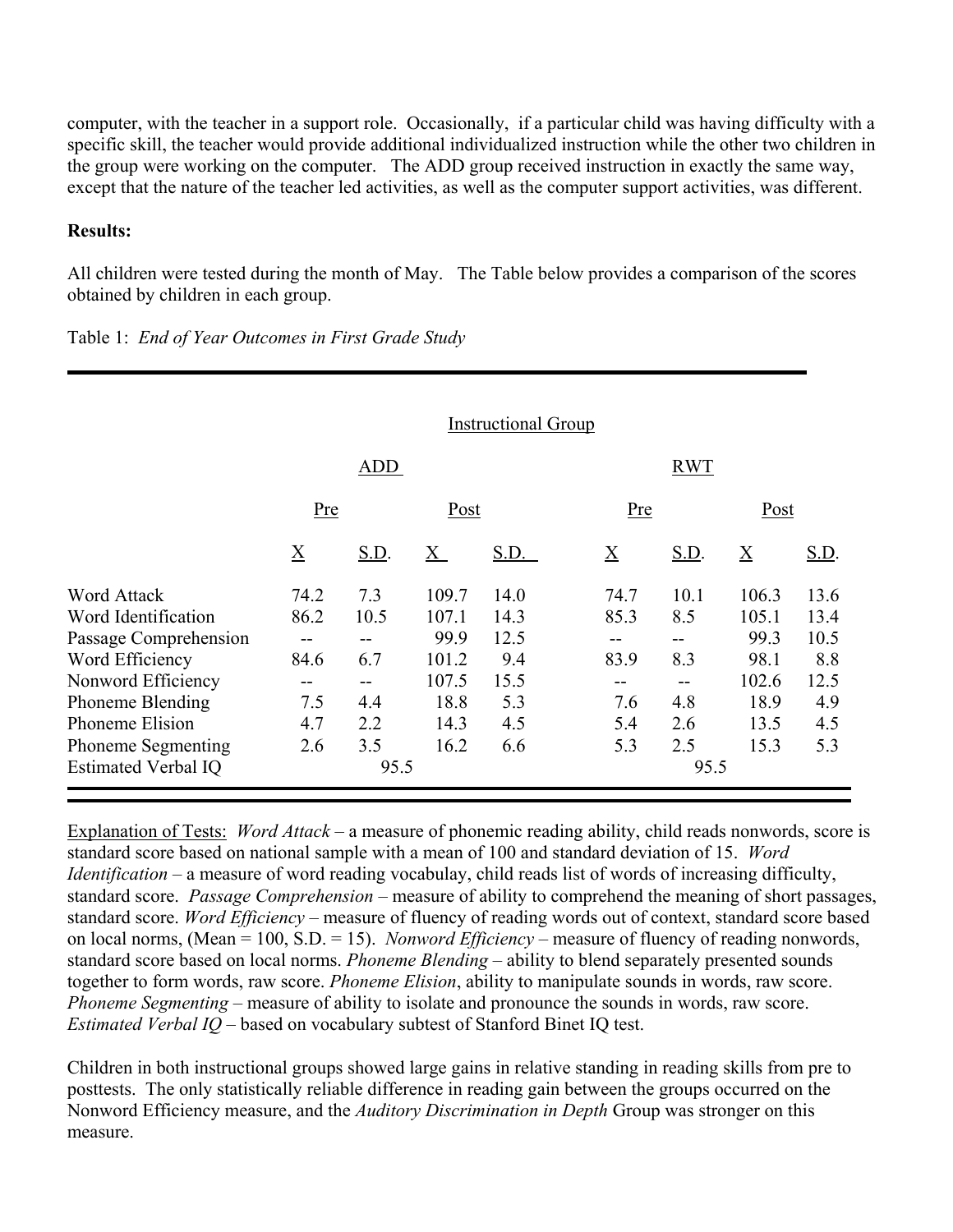computer, with the teacher in a support role. Occasionally, if a particular child was having difficulty with a specific skill, the teacher would provide additional individualized instruction while the other two children in the group were working on the computer. The ADD group received instruction in exactly the same way, except that the nature of the teacher led activities, as well as the computer support activities, was different.

# **Results:**

All children were tested during the month of May. The Table below provides a comparison of the scores obtained by children in each group.

|                            |                 |             |                 | <b>Instructional Group</b> |                 |             |                 |             |
|----------------------------|-----------------|-------------|-----------------|----------------------------|-----------------|-------------|-----------------|-------------|
|                            | <b>ADD</b>      |             |                 |                            | <b>RWT</b>      |             |                 |             |
|                            | <u>Pre</u>      |             | Post            |                            | Pre             |             | Post            |             |
|                            | $\underline{X}$ | <u>S.D.</u> | $\underline{X}$ | S.D.                       | $\underline{X}$ | <u>S.D.</u> | $\underline{X}$ | <u>S.D.</u> |
| Word Attack                | 74.2            | 7.3         | 109.7           | 14.0                       | 74.7            | 10.1        | 106.3           | 13.6        |
| Word Identification        | 86.2            | 10.5        | 107.1           | 14.3                       | 85.3            | 8.5         | 105.1           | 13.4        |
| Passage Comprehension      |                 |             | 99.9            | 12.5                       |                 |             | 99.3            | 10.5        |
| Word Efficiency            | 84.6            | 6.7         | 101.2           | 9.4                        | 83.9            | 8.3         | 98.1            | 8.8         |
| Nonword Efficiency         |                 |             | 107.5           | 15.5                       |                 | $- -$       | 102.6           | 12.5        |
| <b>Phoneme Blending</b>    | 7.5             | 4.4         | 18.8            | 5.3                        | 7.6             | 4.8         | 18.9            | 4.9         |
| Phoneme Elision            | 4.7             | 2.2         | 14.3            | 4.5                        | 5.4             | 2.6         | 13.5            | 4.5         |
| <b>Phoneme Segmenting</b>  | 2.6             | 3.5         | 16.2            | 6.6                        | 5.3             | 2.5         | 15.3            | 5.3         |
| <b>Estimated Verbal IQ</b> | 95.5            |             |                 |                            | 95.5            |             |                 |             |

Table 1: *End of Year Outcomes in First Grade Study*

Explanation of Tests: *Word Attack* – a measure of phonemic reading ability, child reads nonwords, score is standard score based on national sample with a mean of 100 and standard deviation of 15. *Word Identification* – a measure of word reading vocabulay, child reads list of words of increasing difficulty, standard score. *Passage Comprehension* – measure of ability to comprehend the meaning of short passages, standard score. *Word Efficiency* – measure of fluency of reading words out of context, standard score based on local norms, (Mean = 100, S.D. = 15). *Nonword Efficiency* – measure of fluency of reading nonwords, standard score based on local norms. *Phoneme Blending* – ability to blend separately presented sounds together to form words, raw score. *Phoneme Elision*, ability to manipulate sounds in words, raw score. *Phoneme Segmenting* – measure of ability to isolate and pronounce the sounds in words, raw score. *Estimated Verbal IQ* – based on vocabulary subtest of Stanford Binet IQ test.

Children in both instructional groups showed large gains in relative standing in reading skills from pre to posttests. The only statistically reliable difference in reading gain between the groups occurred on the Nonword Efficiency measure, and the *Auditory Discrimination in Depth* Group was stronger on this measure.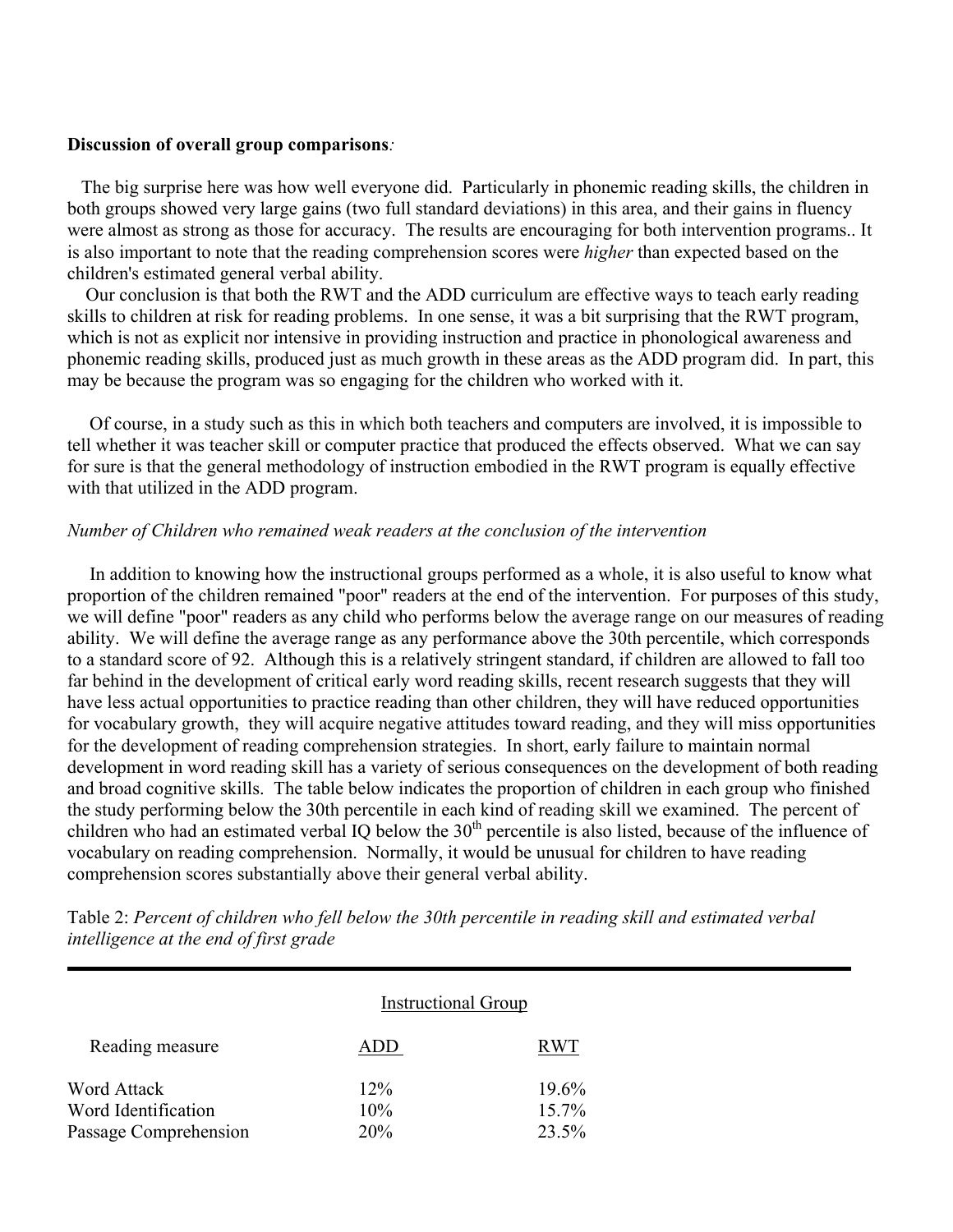#### **Discussion of overall group comparisons***:*

 The big surprise here was how well everyone did. Particularly in phonemic reading skills, the children in both groups showed very large gains (two full standard deviations) in this area, and their gains in fluency were almost as strong as those for accuracy. The results are encouraging for both intervention programs.. It is also important to note that the reading comprehension scores were *higher* than expected based on the children's estimated general verbal ability.

 Our conclusion is that both the RWT and the ADD curriculum are effective ways to teach early reading skills to children at risk for reading problems. In one sense, it was a bit surprising that the RWT program, which is not as explicit nor intensive in providing instruction and practice in phonological awareness and phonemic reading skills, produced just as much growth in these areas as the ADD program did. In part, this may be because the program was so engaging for the children who worked with it.

Of course, in a study such as this in which both teachers and computers are involved, it is impossible to tell whether it was teacher skill or computer practice that produced the effects observed. What we can say for sure is that the general methodology of instruction embodied in the RWT program is equally effective with that utilized in the ADD program.

#### *Number of Children who remained weak readers at the conclusion of the intervention*

In addition to knowing how the instructional groups performed as a whole, it is also useful to know what proportion of the children remained "poor" readers at the end of the intervention. For purposes of this study, we will define "poor" readers as any child who performs below the average range on our measures of reading ability. We will define the average range as any performance above the 30th percentile, which corresponds to a standard score of 92. Although this is a relatively stringent standard, if children are allowed to fall too far behind in the development of critical early word reading skills, recent research suggests that they will have less actual opportunities to practice reading than other children, they will have reduced opportunities for vocabulary growth, they will acquire negative attitudes toward reading, and they will miss opportunities for the development of reading comprehension strategies. In short, early failure to maintain normal development in word reading skill has a variety of serious consequences on the development of both reading and broad cognitive skills. The table below indicates the proportion of children in each group who finished the study performing below the 30th percentile in each kind of reading skill we examined. The percent of children who had an estimated verbal IQ below the  $30<sup>th</sup>$  percentile is also listed, because of the influence of vocabulary on reading comprehension. Normally, it would be unusual for children to have reading comprehension scores substantially above their general verbal ability.

|                       | <b>Instructional Group</b> |          |
|-----------------------|----------------------------|----------|
| Reading measure       | DD)                        | R WT     |
| Word Attack           | 12%                        | 19.6%    |
| Word Identification   | 10%                        | $15.7\%$ |
| Passage Comprehension | <b>20%</b>                 | 23.5%    |

Table 2: *Percent of children who fell below the 30th percentile in reading skill and estimated verbal intelligence at the end of first grade*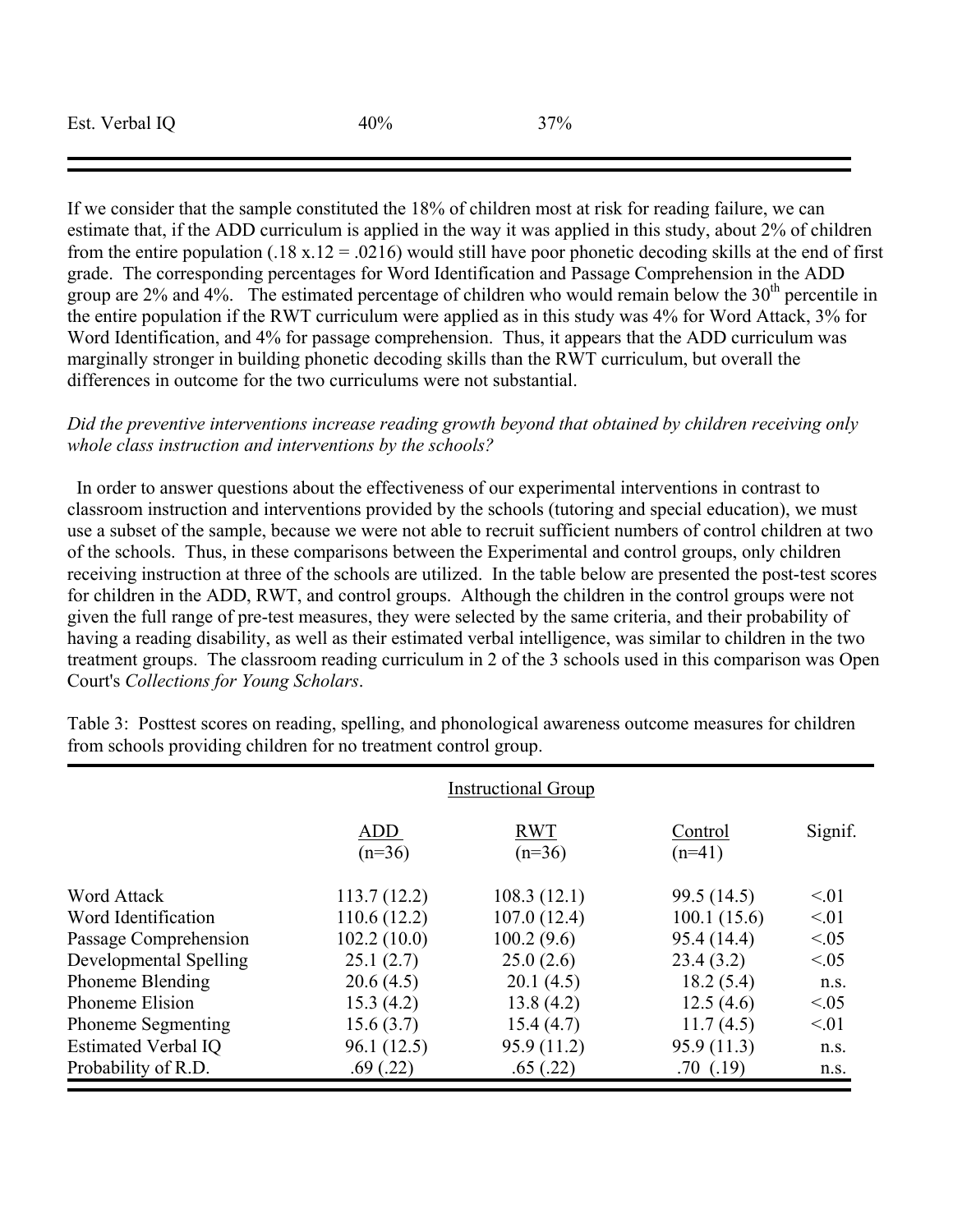| Est. Verbal IQ | 40% | 37% |
|----------------|-----|-----|
|                |     |     |

:

If we consider that the sample constituted the 18% of children most at risk for reading failure, we can estimate that, if the ADD curriculum is applied in the way it was applied in this study, about 2% of children from the entire population (.18 x.12 = .0216) would still have poor phonetic decoding skills at the end of first grade. The corresponding percentages for Word Identification and Passage Comprehension in the ADD group are  $2\%$  and  $4\%$ . The estimated percentage of children who would remain below the  $30<sup>th</sup>$  percentile in the entire population if the RWT curriculum were applied as in this study was 4% for Word Attack, 3% for Word Identification, and 4% for passage comprehension. Thus, it appears that the ADD curriculum was marginally stronger in building phonetic decoding skills than the RWT curriculum, but overall the differences in outcome for the two curriculums were not substantial.

# *Did the preventive interventions increase reading growth beyond that obtained by children receiving only whole class instruction and interventions by the schools?*

 In order to answer questions about the effectiveness of our experimental interventions in contrast to classroom instruction and interventions provided by the schools (tutoring and special education), we must use a subset of the sample, because we were not able to recruit sufficient numbers of control children at two of the schools. Thus, in these comparisons between the Experimental and control groups, only children receiving instruction at three of the schools are utilized. In the table below are presented the post-test scores for children in the ADD, RWT, and control groups. Although the children in the control groups were not given the full range of pre-test measures, they were selected by the same criteria, and their probability of having a reading disability, as well as their estimated verbal intelligence, was similar to children in the two treatment groups. The classroom reading curriculum in 2 of the 3 schools used in this comparison was Open Court's *Collections for Young Scholars*.

|                            | <b>Instructional Group</b> |                        |                     |           |
|----------------------------|----------------------------|------------------------|---------------------|-----------|
|                            | <b>ADD</b><br>$(n=36)$     | <b>RWT</b><br>$(n=36)$ | Control<br>$(n=41)$ | Signif.   |
| Word Attack                | 113.7(12.2)                | 108.3(12.1)            | 99.5 (14.5)         | $\leq 01$ |
| Word Identification        | 110.6(12.2)                | 107.0(12.4)            | 100.1(15.6)         | < 01      |
| Passage Comprehension      | 102.2(10.0)                | 100.2(9.6)             | 95.4 (14.4)         | < 0.05    |
| Developmental Spelling     | 25.1(2.7)                  | 25.0(2.6)              | 23.4(3.2)           | <0.05     |
| <b>Phoneme Blending</b>    | 20.6(4.5)                  | 20.1(4.5)              | 18.2(5.4)           | n.S.      |
| Phoneme Elision            | 15.3(4.2)                  | 13.8(4.2)              | 12.5(4.6)           | <0.05     |
| <b>Phoneme Segmenting</b>  | 15.6(3.7)                  | 15.4(4.7)              | 11.7(4.5)           | < 01      |
| <b>Estimated Verbal IQ</b> | 96.1 (12.5)                | 95.9 (11.2)            | 95.9(11.3)          | n.S.      |
| Probability of R.D.        | .69(.22)                   | .65(.22)               | .70(.19)            | n.s.      |

Table 3: Posttest scores on reading, spelling, and phonological awareness outcome measures for children from schools providing children for no treatment control group.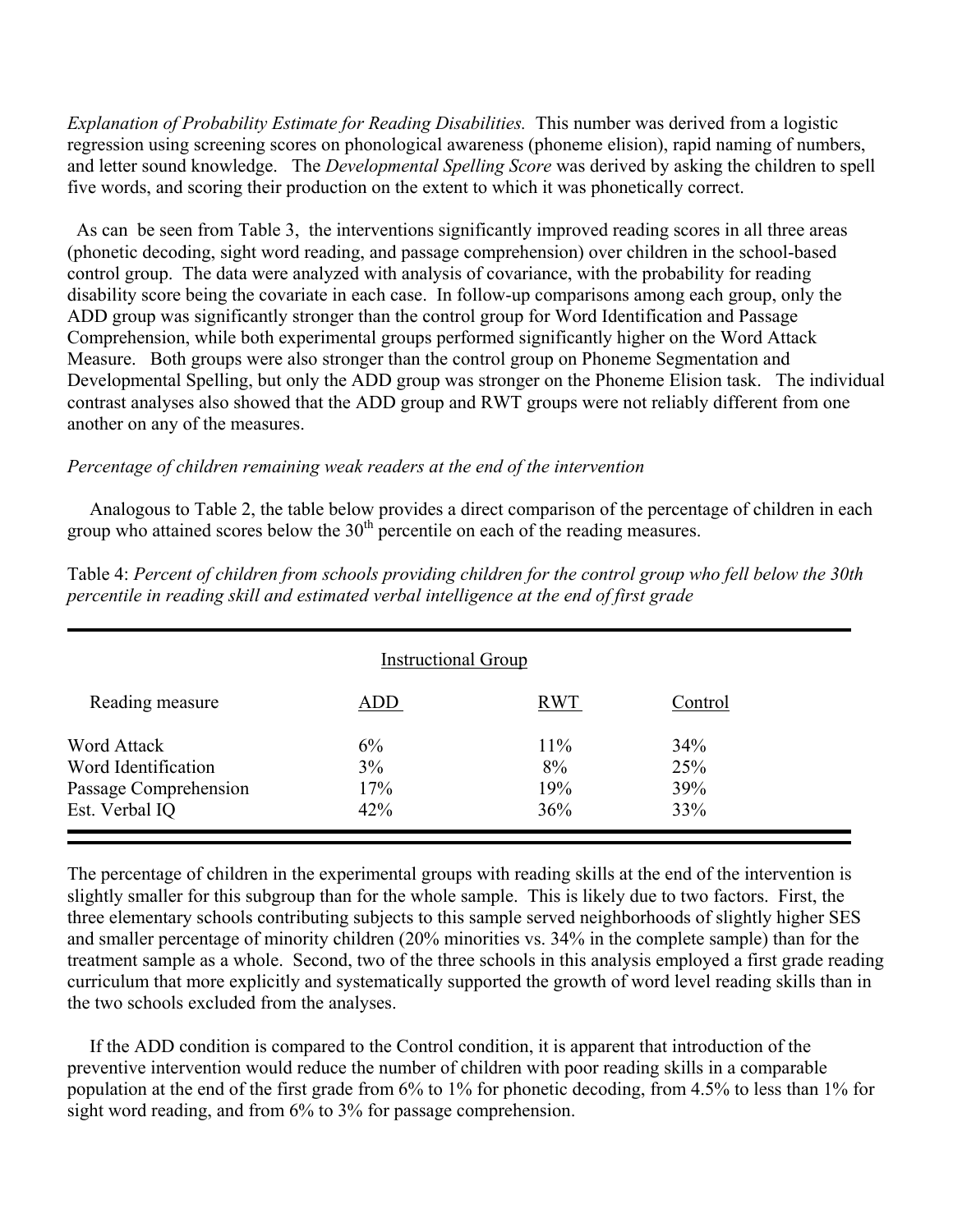*Explanation of Probability Estimate for Reading Disabilities.* This number was derived from a logistic regression using screening scores on phonological awareness (phoneme elision), rapid naming of numbers, and letter sound knowledge. The *Developmental Spelling Score* was derived by asking the children to spell five words, and scoring their production on the extent to which it was phonetically correct.

 As can be seen from Table 3, the interventions significantly improved reading scores in all three areas (phonetic decoding, sight word reading, and passage comprehension) over children in the school-based control group. The data were analyzed with analysis of covariance, with the probability for reading disability score being the covariate in each case. In follow-up comparisons among each group, only the ADD group was significantly stronger than the control group for Word Identification and Passage Comprehension, while both experimental groups performed significantly higher on the Word Attack Measure. Both groups were also stronger than the control group on Phoneme Segmentation and Developmental Spelling, but only the ADD group was stronger on the Phoneme Elision task. The individual contrast analyses also showed that the ADD group and RWT groups were not reliably different from one another on any of the measures.

# *Percentage of children remaining weak readers at the end of the intervention*

Analogous to Table 2, the table below provides a direct comparison of the percentage of children in each group who attained scores below the  $30<sup>th</sup>$  percentile on each of the reading measures.

| <b>Instructional Group</b> |     |            |         |  |  |
|----------------------------|-----|------------|---------|--|--|
| Reading measure            | ADD | <b>RWT</b> | Control |  |  |
| Word Attack                | 6%  | 11%        | 34%     |  |  |
| Word Identification        | 3%  | 8%         | 25%     |  |  |
| Passage Comprehension      | 17% | 19%        | 39%     |  |  |
| Est. Verbal IQ             | 42% | 36%        | 33%     |  |  |

Table 4: *Percent of children from schools providing children for the control group who fell below the 30th percentile in reading skill and estimated verbal intelligence at the end of first grade* 

The percentage of children in the experimental groups with reading skills at the end of the intervention is slightly smaller for this subgroup than for the whole sample. This is likely due to two factors. First, the three elementary schools contributing subjects to this sample served neighborhoods of slightly higher SES and smaller percentage of minority children (20% minorities vs. 34% in the complete sample) than for the treatment sample as a whole. Second, two of the three schools in this analysis employed a first grade reading curriculum that more explicitly and systematically supported the growth of word level reading skills than in the two schools excluded from the analyses.

If the ADD condition is compared to the Control condition, it is apparent that introduction of the preventive intervention would reduce the number of children with poor reading skills in a comparable population at the end of the first grade from 6% to 1% for phonetic decoding, from 4.5% to less than 1% for sight word reading, and from 6% to 3% for passage comprehension.